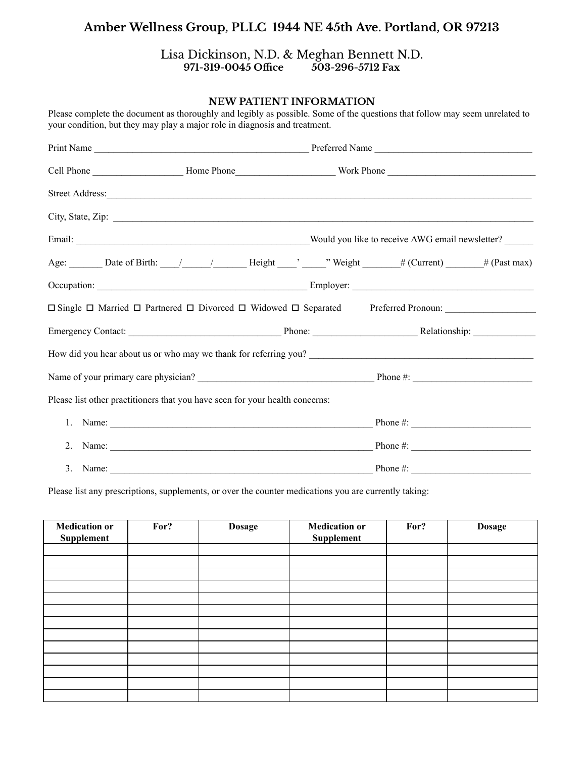#### Lisa Dickinson, N.D. & Meghan Bennett N.D.<br>971-319-0045 Office 503-296-5712 Fax **971-319-0045 Office 503-296-5712 Fax**

#### **NEW PATIENT INFORMATION**

|          | Street Address: <u>and the second contract of the second contract of the second contract of the second contract of the second contract of the second contract of the second contract of the second contract of the second contra</u> |             |  |
|----------|--------------------------------------------------------------------------------------------------------------------------------------------------------------------------------------------------------------------------------------|-------------|--|
|          |                                                                                                                                                                                                                                      |             |  |
|          |                                                                                                                                                                                                                                      |             |  |
|          | Age: Date of Birth: / / / Height / Weight / Weight / # (Current) 4 (Past max)                                                                                                                                                        |             |  |
|          |                                                                                                                                                                                                                                      |             |  |
|          | □ Single □ Married □ Partnered □ Divorced □ Widowed □ Separated Preferred Pronoun:                                                                                                                                                   |             |  |
|          |                                                                                                                                                                                                                                      |             |  |
|          | How did you hear about us or who may we thank for referring you?<br>The matter of the state of the state of the state of the state of the state of the state of the state of the state of the state of the state of the state of     |             |  |
|          |                                                                                                                                                                                                                                      |             |  |
|          | Please list other practitioners that you have seen for your health concerns:                                                                                                                                                         |             |  |
|          |                                                                                                                                                                                                                                      |             |  |
|          | 2. Name: $\frac{1}{2}$ Phone #:                                                                                                                                                                                                      |             |  |
| 3. Name: |                                                                                                                                                                                                                                      | Phone $#$ : |  |

Please complete the document as thoroughly and legibly as possible. Some of the questions that follow may seem unrelated to your condition, but they may play a major role in diagnosis and treatment.

Please list any prescriptions, supplements, or over the counter medications you are currently taking:

| <b>Medication or</b><br>Supplement | For? | <b>Dosage</b> | <b>Medication or</b><br>Supplement | For? | <b>Dosage</b> |
|------------------------------------|------|---------------|------------------------------------|------|---------------|
|                                    |      |               |                                    |      |               |
|                                    |      |               |                                    |      |               |
|                                    |      |               |                                    |      |               |
|                                    |      |               |                                    |      |               |
|                                    |      |               |                                    |      |               |
|                                    |      |               |                                    |      |               |
|                                    |      |               |                                    |      |               |
|                                    |      |               |                                    |      |               |
|                                    |      |               |                                    |      |               |
|                                    |      |               |                                    |      |               |
|                                    |      |               |                                    |      |               |
|                                    |      |               |                                    |      |               |
|                                    |      |               |                                    |      |               |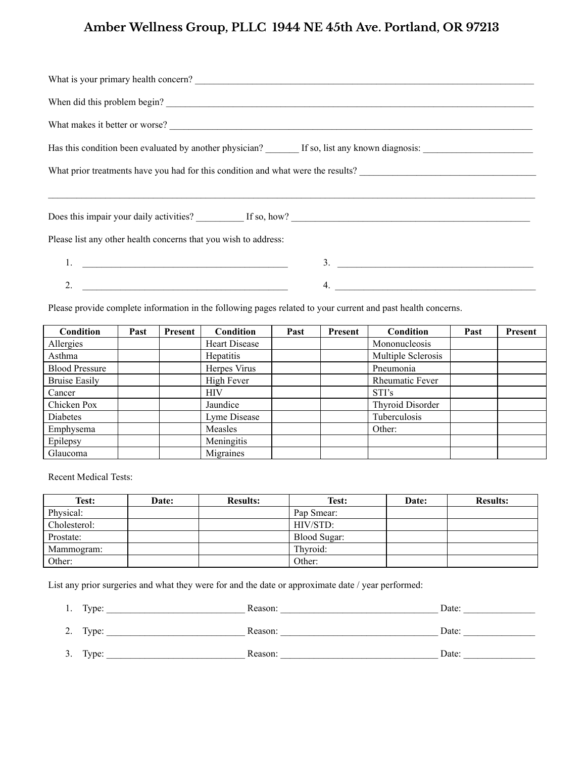| When did this problem begin?                                                                                                                      |               |  |  |  |  |  |
|---------------------------------------------------------------------------------------------------------------------------------------------------|---------------|--|--|--|--|--|
| What makes it better or worse?                                                                                                                    |               |  |  |  |  |  |
| Has this condition been evaluated by another physician? If so, list any known diagnosis: International Library Analysis: All any known diagnosis: |               |  |  |  |  |  |
| What prior treatments have you had for this condition and what were the results?                                                                  |               |  |  |  |  |  |
|                                                                                                                                                   |               |  |  |  |  |  |
|                                                                                                                                                   |               |  |  |  |  |  |
| Please list any other health concerns that you wish to address:                                                                                   |               |  |  |  |  |  |
|                                                                                                                                                   | $\frac{3}{2}$ |  |  |  |  |  |
|                                                                                                                                                   | 4.            |  |  |  |  |  |

Please provide complete information in the following pages related to your current and past health concerns.

| <b>Condition</b>      | Past | Present | Condition            | Past | Present | Condition              | Past | Present |
|-----------------------|------|---------|----------------------|------|---------|------------------------|------|---------|
| Allergies             |      |         | <b>Heart Disease</b> |      |         | Mononucleosis          |      |         |
| Asthma                |      |         | <b>Hepatitis</b>     |      |         | Multiple Sclerosis     |      |         |
| <b>Blood Pressure</b> |      |         | Herpes Virus         |      |         | Pneumonia              |      |         |
| <b>Bruise Easily</b>  |      |         | High Fever           |      |         | <b>Rheumatic Fever</b> |      |         |
| Cancer                |      |         | <b>HIV</b>           |      |         | STI's                  |      |         |
| Chicken Pox           |      |         | Jaundice             |      |         | Thyroid Disorder       |      |         |
| Diabetes              |      |         | Lyme Disease         |      |         | Tuberculosis           |      |         |
| Emphysema             |      |         | Measles              |      |         | Other:                 |      |         |
| Epilepsy              |      |         | Meningitis           |      |         |                        |      |         |
| Glaucoma              |      |         | Migraines            |      |         |                        |      |         |

Recent Medical Tests:

| <b>Test:</b> | <b>Date:</b> | <b>Results:</b> | Test:        | Date: | <b>Results:</b> |
|--------------|--------------|-----------------|--------------|-------|-----------------|
| Physical:    |              |                 | Pap Smear:   |       |                 |
| Cholesterol: |              |                 | HIV/STD:     |       |                 |
| Prostate:    |              |                 | Blood Sugar: |       |                 |
| Mammogram:   |              |                 | Thyroid:     |       |                 |
| Other:       |              |                 | Other:       |       |                 |

List any prior surgeries and what they were for and the date or approximate date / year performed:

| 1. | Type:    | Reason: | Date: |
|----|----------|---------|-------|
| 2. | Type:    | Reason: | Date: |
|    | 3. Type: | Reason: | Date: |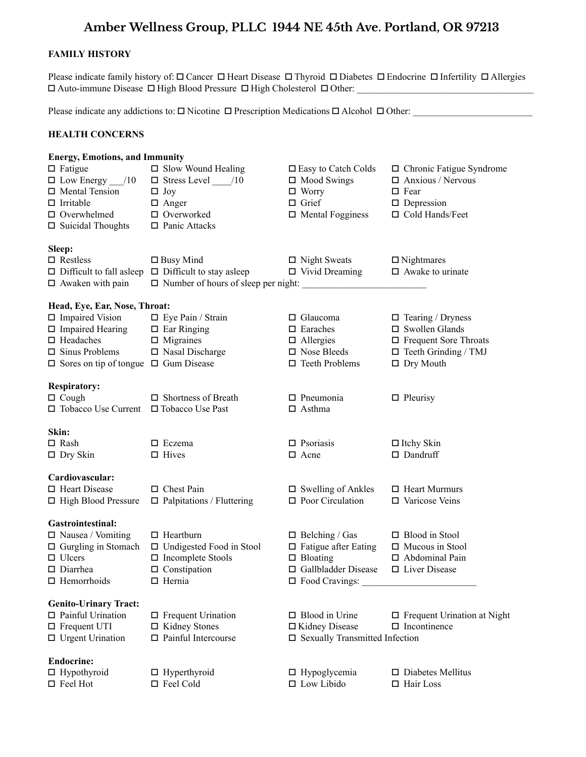#### **FAMILY HISTORY**

Please indicate family history of:  $\Box$  Cancer  $\Box$  Heart Disease  $\Box$  Thyroid  $\Box$  Diabetes  $\Box$  Endocrine  $\Box$  Infertility  $\Box$  Allergies  $\Box$  Auto-immune Disease  $\Box$  High Blood Pressure  $\Box$  High Cholesterol  $\Box$  Other:

Please indicate any addictions to:  $\Box$  Nicotine  $\Box$  Prescription Medications  $\Box$  Alcohol  $\Box$  Other:

#### **HEALTH CONCERNS**

### **Energy, Emotions, and Immunity** Fatigue Slow Wound Healing Easy to Catch Colds Chronic Fatigue Syndrome

| $\Box$ Low Energy ___/10                         |                                            | $\Box$ Mood Swings               | $\Box$ Anxious / Nervous           |
|--------------------------------------------------|--------------------------------------------|----------------------------------|------------------------------------|
| $\Box$ Mental Tension                            | $\Box$ Joy                                 | $\Box$ Worry                     | $\Box$ Fear                        |
| $\Box$ Irritable                                 | $\Box$ Anger                               | $\Box$ Grief                     | $\Box$ Depression                  |
| $\Box$ Overwhelmed                               | $\Box$ Overworked                          | $\Box$ Mental Fogginess          | □ Cold Hands/Feet                  |
| $\square$ Suicidal Thoughts                      | $\Box$ Panic Attacks                       |                                  |                                    |
| Sleep:                                           |                                            |                                  |                                    |
| $\Box$ Restless                                  | $\Box$ Busy Mind                           | $\Box$ Night Sweats              | $\Box$ Nightmares                  |
| $\Box$ Difficult to fall asleep                  | $\Box$ Difficult to stay asleep            | $\Box$ Vivid Dreaming            | $\Box$ Awake to urinate            |
| $\Box$ Awaken with pain                          | $\Box$ Number of hours of sleep per night: |                                  |                                    |
| Head, Eye, Ear, Nose, Throat:                    |                                            |                                  |                                    |
| $\Box$ Impaired Vision                           | $\Box$ Eye Pain / Strain                   | $\Box$ Glaucoma                  | $\Box$ Tearing / Dryness           |
| $\Box$ Impaired Hearing                          | $\Box$ Ear Ringing                         | $\square$ Earaches               | $\square$ Swollen Glands           |
| $\Box$ Headaches                                 | $\Box$ Migraines                           | $\Box$ Allergies                 | $\Box$ Frequent Sore Throats       |
| $\Box$ Sinus Problems                            | $\square$ Nasal Discharge                  | $\square$ Nose Bleeds            | $\Box$ Teeth Grinding / TMJ        |
| $\Box$ Sores on tip of tongue $\Box$ Gum Disease |                                            | $\Box$ Teeth Problems            | $\Box$ Dry Mouth                   |
| <b>Respiratory:</b>                              |                                            |                                  |                                    |
| $\Box$ Cough                                     | $\Box$ Shortness of Breath                 | $\Box$ Pneumonia                 | $\Box$ Pleurisy                    |
| □ Tobacco Use Current                            | $\Box$ Tobacco Use Past                    | $\Box$ Asthma                    |                                    |
|                                                  |                                            |                                  |                                    |
| Skin:                                            |                                            |                                  |                                    |
| $\square$ Rash                                   | $\Box$ Eczema                              | $\Box$ Psoriasis                 | $\Box$ Itchy Skin                  |
| $\Box$ Dry Skin                                  | $\Box$ Hives                               | $\Box$ Acne                      | $\square$ Dandruff                 |
| Cardiovascular:                                  |                                            |                                  |                                    |
| □ Heart Disease                                  | $\Box$ Chest Pain                          | $\square$ Swelling of Ankles     | $\Box$ Heart Murmurs               |
| □ High Blood Pressure                            | $\Box$ Palpitations / Fluttering           | $\Box$ Poor Circulation          | $\Box$ Varicose Veins              |
|                                                  |                                            |                                  |                                    |
| Gastrointestinal:                                |                                            |                                  |                                    |
| $\Box$ Nausea / Vomiting                         | $\Box$ Heartburn                           | $\Box$ Belching / Gas            | $\hfill \square$ Blood in Stool    |
| $\Box$ Gurgling in Stomach                       | $\Box$ Undigested Food in Stool            | $\Box$ Fatigue after Eating      | $\Box$ Mucous in Stool             |
| $\Box$ Ulcers                                    | $\square$ Incomplete Stools                | $\Box$ Bloating                  | $\Box$ Abdominal Pain              |
| $\Box$ Diarrhea                                  | $\Box$ Constipation                        | □ Gallbladder Disease            | $\Box$ Liver Disease               |
| $\Box$ Hemorrhoids                               | $\Box$ Hernia                              | $\Box$ Food Cravings:            |                                    |
| <b>Genito-Urinary Tract:</b>                     |                                            |                                  |                                    |
| $\Box$ Painful Urination                         | $\Box$ Frequent Urination                  | $\Box$ Blood in Urine            | $\Box$ Frequent Urination at Night |
| $\Box$ Frequent UTI                              | $\Box$ Kidney Stones                       | □ Kidney Disease                 | $\Box$ Incontinence                |
| $\Box$ Urgent Urination                          | $\Box$ Painful Intercourse                 | □ Sexually Transmitted Infection |                                    |
| <b>Endocrine:</b>                                |                                            |                                  |                                    |
|                                                  |                                            |                                  |                                    |

 $\Box$  Hypothyroid  $\Box$  Hypoglycemia  $\Box$  Diabetes Mellitus  $\Box$  Feel Hot  $\Box$  Feel Cold  $\Box$  Low Libido  $\Box$  Hair Loss  $\Box$  Feel Cold  $\Box$  Low Libido  $\Box$  Hair Loss